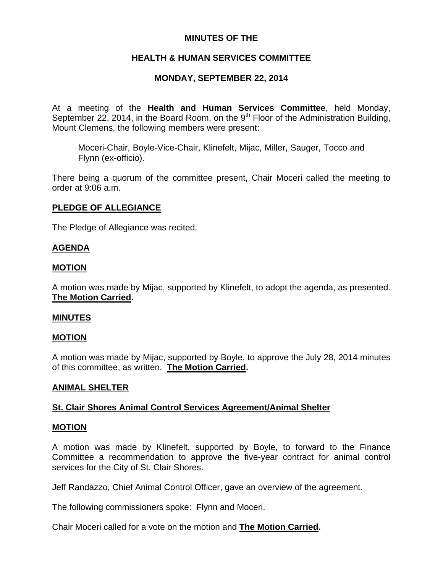# **MINUTES OF THE**

# **HEALTH & HUMAN SERVICES COMMITTEE**

## **MONDAY, SEPTEMBER 22, 2014**

At a meeting of the **Health and Human Services Committee**, held Monday, September 22, 2014, in the Board Room, on the  $9<sup>th</sup>$  Floor of the Administration Building, Mount Clemens, the following members were present:

Moceri-Chair, Boyle-Vice-Chair, Klinefelt, Mijac, Miller, Sauger, Tocco and Flynn (ex-officio).

There being a quorum of the committee present, Chair Moceri called the meeting to order at 9:06 a.m.

## **PLEDGE OF ALLEGIANCE**

The Pledge of Allegiance was recited.

## **AGENDA**

## **MOTION**

A motion was made by Mijac, supported by Klinefelt, to adopt the agenda, as presented. **The Motion Carried.** 

## **MINUTES**

## **MOTION**

A motion was made by Mijac, supported by Boyle, to approve the July 28, 2014 minutes of this committee, as written. **The Motion Carried.** 

## **ANIMAL SHELTER**

## **St. Clair Shores Animal Control Services Agreement/Animal Shelter**

#### **MOTION**

A motion was made by Klinefelt, supported by Boyle, to forward to the Finance Committee a recommendation to approve the five-year contract for animal control services for the City of St. Clair Shores.

Jeff Randazzo, Chief Animal Control Officer, gave an overview of the agreement.

The following commissioners spoke: Flynn and Moceri.

Chair Moceri called for a vote on the motion and **The Motion Carried.**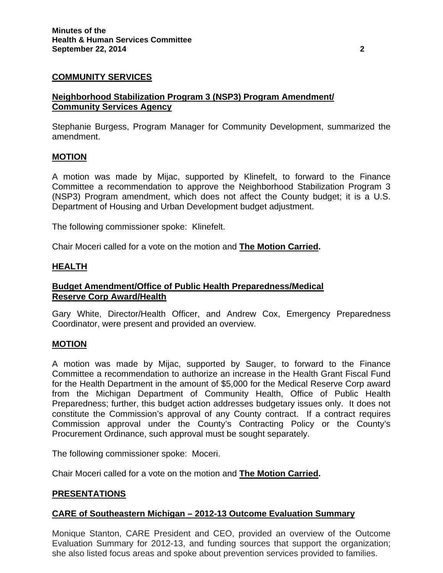# **COMMUNITY SERVICES**

## **Neighborhood Stabilization Program 3 (NSP3) Program Amendment/ Community Services Agency**

Stephanie Burgess, Program Manager for Community Development, summarized the amendment.

### **MOTION**

A motion was made by Mijac, supported by Klinefelt, to forward to the Finance Committee a recommendation to approve the Neighborhood Stabilization Program 3 (NSP3) Program amendment, which does not affect the County budget; it is a U.S. Department of Housing and Urban Development budget adjustment.

The following commissioner spoke: Klinefelt.

Chair Moceri called for a vote on the motion and **The Motion Carried.**

### **HEALTH**

## **Budget Amendment/Office of Public Health Preparedness/Medical Reserve Corp Award/Health**

Gary White, Director/Health Officer, and Andrew Cox, Emergency Preparedness Coordinator, were present and provided an overview.

## **MOTION**

A motion was made by Mijac, supported by Sauger, to forward to the Finance Committee a recommendation to authorize an increase in the Health Grant Fiscal Fund for the Health Department in the amount of \$5,000 for the Medical Reserve Corp award from the Michigan Department of Community Health, Office of Public Health Preparedness; further, this budget action addresses budgetary issues only. It does not constitute the Commission's approval of any County contract. If a contract requires Commission approval under the County's Contracting Policy or the County's Procurement Ordinance, such approval must be sought separately.

The following commissioner spoke: Moceri.

Chair Moceri called for a vote on the motion and **The Motion Carried.**

## **PRESENTATIONS**

## **CARE of Southeastern Michigan – 2012-13 Outcome Evaluation Summary**

Monique Stanton, CARE President and CEO, provided an overview of the Outcome Evaluation Summary for 2012-13, and funding sources that support the organization; she also listed focus areas and spoke about prevention services provided to families.